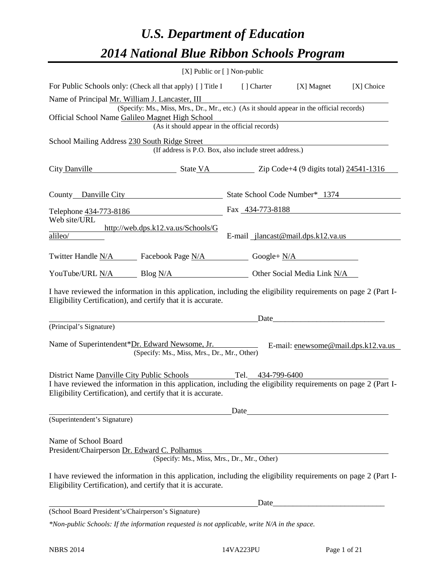# *U.S. Department of Education 2014 National Blue Ribbon Schools Program*

|                                                                                                                                                                                                                                                        | [X] Public or [] Non-public |                                                        |                                                                                                                                                                                                                               |            |
|--------------------------------------------------------------------------------------------------------------------------------------------------------------------------------------------------------------------------------------------------------|-----------------------------|--------------------------------------------------------|-------------------------------------------------------------------------------------------------------------------------------------------------------------------------------------------------------------------------------|------------|
| For Public Schools only: (Check all that apply) [] Title I                                                                                                                                                                                             |                             |                                                        | [ ] Charter [X] Magnet                                                                                                                                                                                                        | [X] Choice |
| Name of Principal Mr. William J. Lancaster, III<br>(Specify: Ms., Miss, Mrs., Dr., Mr., etc.) (As it should appear in the official records)<br>Official School Name Galileo Magnet High School                                                         |                             |                                                        | Lagnet High School<br>(As it should appear in the official records)                                                                                                                                                           |            |
| School Mailing Address 230 South Ridge Street                                                                                                                                                                                                          |                             | (If address is P.O. Box, also include street address.) |                                                                                                                                                                                                                               |            |
| City Danville State VA Zip Code+4 (9 digits total) 24541-1316                                                                                                                                                                                          |                             |                                                        |                                                                                                                                                                                                                               |            |
| County Danville City                                                                                                                                                                                                                                   |                             |                                                        | State School Code Number* 1374                                                                                                                                                                                                |            |
| Telephone 434-773-8186                                                                                                                                                                                                                                 |                             |                                                        | Fax 434-773-8188                                                                                                                                                                                                              |            |
| Web site/URL<br>http://web.dps.k12.va.us/Schools/G<br>$\overline{\text{alileo}}$                                                                                                                                                                       |                             |                                                        | E-mail jlancast@mail.dps.k12.va.us                                                                                                                                                                                            |            |
| Twitter Handle <u>N/A</u> Facebook Page N/A Google+ N/A                                                                                                                                                                                                |                             |                                                        |                                                                                                                                                                                                                               |            |
| YouTube/URL N/A Blog N/A Discovery Other Social Media Link N/A                                                                                                                                                                                         |                             |                                                        |                                                                                                                                                                                                                               |            |
| I have reviewed the information in this application, including the eligibility requirements on page 2 (Part I-<br>Eligibility Certification), and certify that it is accurate.                                                                         |                             |                                                        |                                                                                                                                                                                                                               |            |
|                                                                                                                                                                                                                                                        |                             |                                                        | Date and the same state of the state of the state of the state of the state of the state of the state of the state of the state of the state of the state of the state of the state of the state of the state of the state of |            |
| (Principal's Signature)                                                                                                                                                                                                                                |                             |                                                        |                                                                                                                                                                                                                               |            |
| Name of Superintendent*Dr. Edward Newsome, Jr. E-mail: enewsome@mail.dps.k12.va.us<br>(Specify: Ms., Miss, Mrs., Dr., Mr., Other)                                                                                                                      |                             |                                                        |                                                                                                                                                                                                                               |            |
| District Name Danville City Public Schools Tel. 434-799-6400<br>I have reviewed the information in this application, including the eligibility requirements on page 2 (Part I-<br>Eligibility Certification), and certify that it is accurate.         |                             |                                                        |                                                                                                                                                                                                                               |            |
| (Superintendent's Signature)                                                                                                                                                                                                                           |                             | Date                                                   |                                                                                                                                                                                                                               |            |
| Name of School Board<br>President/Chairperson Dr. Edward C. Polhamus<br>I have reviewed the information in this application, including the eligibility requirements on page 2 (Part I-<br>Eligibility Certification), and certify that it is accurate. |                             | (Specify: Ms., Miss, Mrs., Dr., Mr., Other)            |                                                                                                                                                                                                                               |            |
|                                                                                                                                                                                                                                                        |                             | Date                                                   |                                                                                                                                                                                                                               |            |
| (School Board President's/Chairperson's Signature)                                                                                                                                                                                                     |                             |                                                        |                                                                                                                                                                                                                               |            |
| $*$ Non-public Schools: If the information requested is not applicable, write N/A in the space.                                                                                                                                                        |                             |                                                        |                                                                                                                                                                                                                               |            |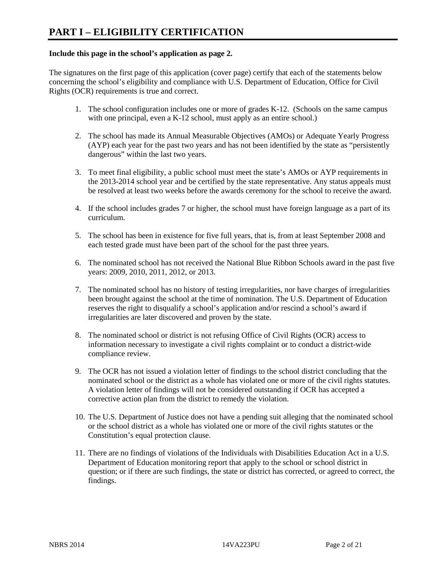# **Include this page in the school's application as page 2.**

The signatures on the first page of this application (cover page) certify that each of the statements below concerning the school's eligibility and compliance with U.S. Department of Education, Office for Civil Rights (OCR) requirements is true and correct.

- 1. The school configuration includes one or more of grades K-12. (Schools on the same campus with one principal, even a K-12 school, must apply as an entire school.)
- 2. The school has made its Annual Measurable Objectives (AMOs) or Adequate Yearly Progress (AYP) each year for the past two years and has not been identified by the state as "persistently dangerous" within the last two years.
- 3. To meet final eligibility, a public school must meet the state's AMOs or AYP requirements in the 2013-2014 school year and be certified by the state representative. Any status appeals must be resolved at least two weeks before the awards ceremony for the school to receive the award.
- 4. If the school includes grades 7 or higher, the school must have foreign language as a part of its curriculum.
- 5. The school has been in existence for five full years, that is, from at least September 2008 and each tested grade must have been part of the school for the past three years.
- 6. The nominated school has not received the National Blue Ribbon Schools award in the past five years: 2009, 2010, 2011, 2012, or 2013.
- 7. The nominated school has no history of testing irregularities, nor have charges of irregularities been brought against the school at the time of nomination. The U.S. Department of Education reserves the right to disqualify a school's application and/or rescind a school's award if irregularities are later discovered and proven by the state.
- 8. The nominated school or district is not refusing Office of Civil Rights (OCR) access to information necessary to investigate a civil rights complaint or to conduct a district-wide compliance review.
- 9. The OCR has not issued a violation letter of findings to the school district concluding that the nominated school or the district as a whole has violated one or more of the civil rights statutes. A violation letter of findings will not be considered outstanding if OCR has accepted a corrective action plan from the district to remedy the violation.
- 10. The U.S. Department of Justice does not have a pending suit alleging that the nominated school or the school district as a whole has violated one or more of the civil rights statutes or the Constitution's equal protection clause.
- 11. There are no findings of violations of the Individuals with Disabilities Education Act in a U.S. Department of Education monitoring report that apply to the school or school district in question; or if there are such findings, the state or district has corrected, or agreed to correct, the findings.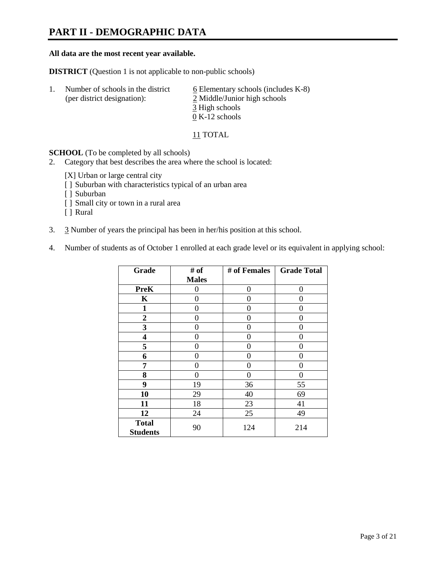# **PART II - DEMOGRAPHIC DATA**

### **All data are the most recent year available.**

**DISTRICT** (Question 1 is not applicable to non-public schools)

| -1. | Number of schools in the district<br>(per district designation): | $6$ Elementary schools (includes K-8)<br>2 Middle/Junior high schools |  |
|-----|------------------------------------------------------------------|-----------------------------------------------------------------------|--|
|     |                                                                  | 3 High schools                                                        |  |
|     |                                                                  | $0 K-12$ schools                                                      |  |

11 TOTAL

**SCHOOL** (To be completed by all schools)

- 2. Category that best describes the area where the school is located:
	- [X] Urban or large central city
	- [ ] Suburban with characteristics typical of an urban area
	- [ ] Suburban
	- [ ] Small city or town in a rural area
	- [ ] Rural
- 3. 3 Number of years the principal has been in her/his position at this school.
- 4. Number of students as of October 1 enrolled at each grade level or its equivalent in applying school:

| Grade                           | # of         | # of Females | <b>Grade Total</b> |
|---------------------------------|--------------|--------------|--------------------|
|                                 | <b>Males</b> |              |                    |
| <b>PreK</b>                     | 0            | 0            | $\Omega$           |
| K                               | 0            | 0            | 0                  |
| $\mathbf{1}$                    | 0            | 0            | 0                  |
| $\overline{2}$                  | 0            | 0            | 0                  |
| 3                               | 0            | 0            | 0                  |
| 4                               | 0            | 0            | 0                  |
| 5                               | 0            | 0            | 0                  |
| 6                               | 0            | 0            | 0                  |
| 7                               | 0            | 0            | 0                  |
| 8                               | 0            | 0            | 0                  |
| 9                               | 19           | 36           | 55                 |
| 10                              | 29           | 40           | 69                 |
| 11                              | 18           | 23           | 41                 |
| 12                              | 24           | 25           | 49                 |
| <b>Total</b><br><b>Students</b> | 90           | 124          | 214                |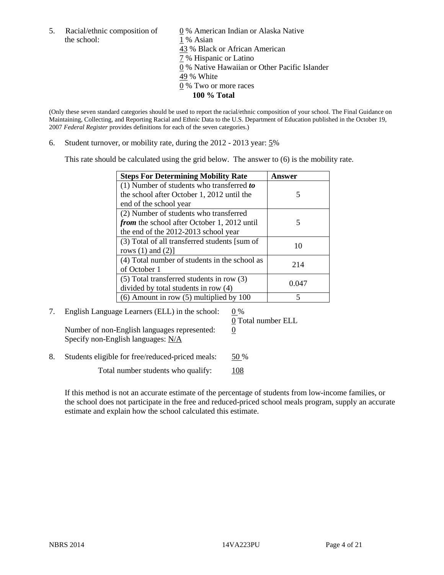the school: 1 % Asian

5. Racial/ethnic composition of  $\qquad \qquad \underline{0}$  % American Indian or Alaska Native 43 % Black or African American 7 % Hispanic or Latino 0 % Native Hawaiian or Other Pacific Islander 49 % White 0 % Two or more races **100 % Total**

(Only these seven standard categories should be used to report the racial/ethnic composition of your school. The Final Guidance on Maintaining, Collecting, and Reporting Racial and Ethnic Data to the U.S. Department of Education published in the October 19, 2007 *Federal Register* provides definitions for each of the seven categories.)

6. Student turnover, or mobility rate, during the 2012 - 2013 year: 5%

This rate should be calculated using the grid below. The answer to (6) is the mobility rate.

| <b>Steps For Determining Mobility Rate</b>         | <b>Answer</b> |
|----------------------------------------------------|---------------|
| (1) Number of students who transferred to          |               |
| the school after October 1, 2012 until the         | 5             |
| end of the school year                             |               |
| (2) Number of students who transferred             |               |
| <i>from</i> the school after October 1, 2012 until | 5             |
| the end of the 2012-2013 school year               |               |
| (3) Total of all transferred students [sum of      | 10            |
| rows $(1)$ and $(2)$ ]                             |               |
| (4) Total number of students in the school as      | 214           |
| of October 1                                       |               |
| (5) Total transferred students in row (3)          | 0.047         |
| divided by total students in row (4)               |               |
| $(6)$ Amount in row $(5)$ multiplied by 100        |               |

7. English Language Learners (ELL) in the school:  $0\%$ Number of non-English languages represented:  $0$ 

Specify non-English languages: N/A

0 Total number ELL

8. Students eligible for free/reduced-priced meals: 50 %

Total number students who qualify: 108

If this method is not an accurate estimate of the percentage of students from low-income families, or the school does not participate in the free and reduced-priced school meals program, supply an accurate estimate and explain how the school calculated this estimate.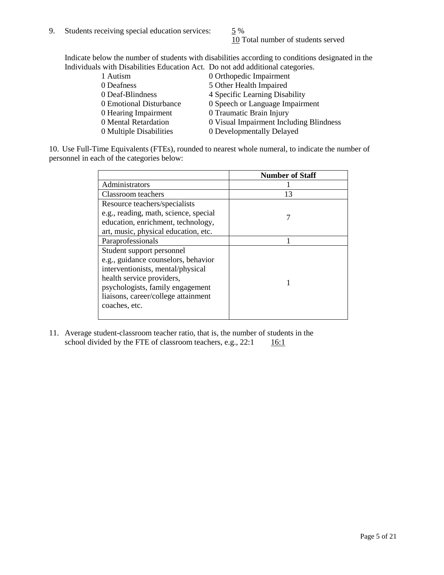10 Total number of students served

Indicate below the number of students with disabilities according to conditions designated in the Individuals with Disabilities Education Act. Do not add additional categories.

| 1 Autism                | 0 Orthopedic Impairment                 |
|-------------------------|-----------------------------------------|
| 0 Deafness              | 5 Other Health Impaired                 |
| 0 Deaf-Blindness        | 4 Specific Learning Disability          |
| 0 Emotional Disturbance | 0 Speech or Language Impairment         |
| 0 Hearing Impairment    | 0 Traumatic Brain Injury                |
| 0 Mental Retardation    | 0 Visual Impairment Including Blindness |
| 0 Multiple Disabilities | 0 Developmentally Delayed               |
|                         |                                         |

10. Use Full-Time Equivalents (FTEs), rounded to nearest whole numeral, to indicate the number of personnel in each of the categories below:

|                                       | <b>Number of Staff</b> |
|---------------------------------------|------------------------|
| Administrators                        |                        |
| Classroom teachers                    | 13                     |
| Resource teachers/specialists         |                        |
| e.g., reading, math, science, special |                        |
| education, enrichment, technology,    |                        |
| art, music, physical education, etc.  |                        |
| Paraprofessionals                     |                        |
| Student support personnel             |                        |
| e.g., guidance counselors, behavior   |                        |
| interventionists, mental/physical     |                        |
| health service providers,             |                        |
| psychologists, family engagement      |                        |
| liaisons, career/college attainment   |                        |
| coaches, etc.                         |                        |
|                                       |                        |

11. Average student-classroom teacher ratio, that is, the number of students in the school divided by the FTE of classroom teachers, e.g.,  $22:1$  16:1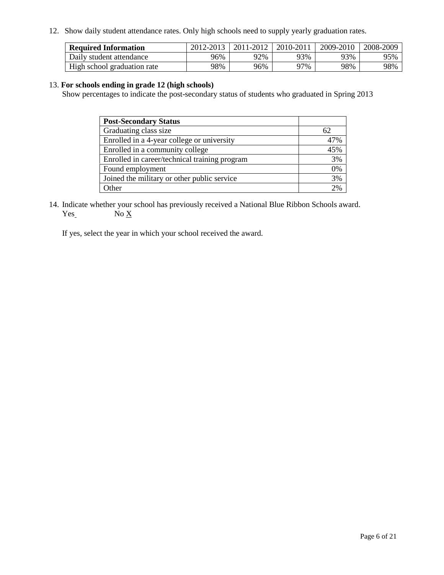12. Show daily student attendance rates. Only high schools need to supply yearly graduation rates.

| <b>Required Information</b> | 2012-2013 | 2011-2012 | 2010-2011 | 2009-2010 | 2008-2009 |
|-----------------------------|-----------|-----------|-----------|-----------|-----------|
| Daily student attendance    | 96%       | 92%       | 93%       | 93%       | 95%       |
| High school graduation rate | 98%       | 96%       | 97%       | 98%       | 98%       |

# 13. **For schools ending in grade 12 (high schools)**

Show percentages to indicate the post-secondary status of students who graduated in Spring 2013

| <b>Post-Secondary Status</b>                  |     |
|-----------------------------------------------|-----|
| Graduating class size                         | 62  |
| Enrolled in a 4-year college or university    | 47% |
| Enrolled in a community college               | 45% |
| Enrolled in career/technical training program | 3%  |
| Found employment                              | 0%  |
| Joined the military or other public service   | 3%  |
| <b>Other</b>                                  | 2%  |

14. Indicate whether your school has previously received a National Blue Ribbon Schools award.  $Yes$  No  $X$ 

If yes, select the year in which your school received the award.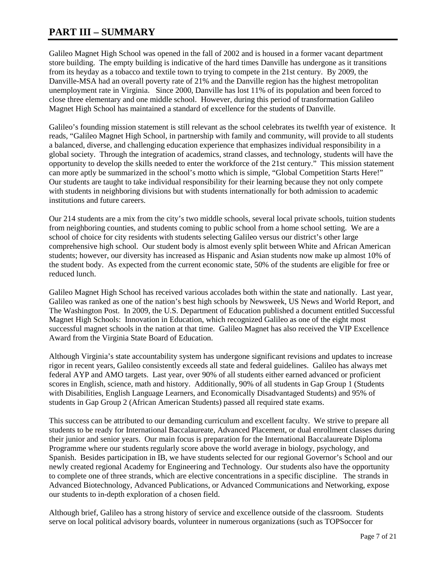# **PART III – SUMMARY**

Galileo Magnet High School was opened in the fall of 2002 and is housed in a former vacant department store building. The empty building is indicative of the hard times Danville has undergone as it transitions from its heyday as a tobacco and textile town to trying to compete in the 21st century. By 2009, the Danville-MSA had an overall poverty rate of 21% and the Danville region has the highest metropolitan unemployment rate in Virginia. Since 2000, Danville has lost 11% of its population and been forced to close three elementary and one middle school. However, during this period of transformation Galileo Magnet High School has maintained a standard of excellence for the students of Danville.

Galileo's founding mission statement is still relevant as the school celebrates its twelfth year of existence. It reads, "Galileo Magnet High School, in partnership with family and community, will provide to all students a balanced, diverse, and challenging education experience that emphasizes individual responsibility in a global society. Through the integration of academics, strand classes, and technology, students will have the opportunity to develop the skills needed to enter the workforce of the 21st century." This mission statement can more aptly be summarized in the school's motto which is simple, "Global Competition Starts Here!" Our students are taught to take individual responsibility for their learning because they not only compete with students in neighboring divisions but with students internationally for both admission to academic institutions and future careers.

Our 214 students are a mix from the city's two middle schools, several local private schools, tuition students from neighboring counties, and students coming to public school from a home school setting. We are a school of choice for city residents with students selecting Galileo versus our district's other large comprehensive high school. Our student body is almost evenly split between White and African American students; however, our diversity has increased as Hispanic and Asian students now make up almost 10% of the student body. As expected from the current economic state, 50% of the students are eligible for free or reduced lunch.

Galileo Magnet High School has received various accolades both within the state and nationally. Last year, Galileo was ranked as one of the nation's best high schools by Newsweek, US News and World Report, and The Washington Post. In 2009, the U.S. Department of Education published a document entitled Successful Magnet High Schools: Innovation in Education, which recognized Galileo as one of the eight most successful magnet schools in the nation at that time. Galileo Magnet has also received the VIP Excellence Award from the Virginia State Board of Education.

Although Virginia's state accountability system has undergone significant revisions and updates to increase rigor in recent years, Galileo consistently exceeds all state and federal guidelines. Galileo has always met federal AYP and AMO targets. Last year, over 90% of all students either earned advanced or proficient scores in English, science, math and history. Additionally, 90% of all students in Gap Group 1 (Students with Disabilities, English Language Learners, and Economically Disadvantaged Students) and 95% of students in Gap Group 2 (African American Students) passed all required state exams.

This success can be attributed to our demanding curriculum and excellent faculty. We strive to prepare all students to be ready for International Baccalaureate, Advanced Placement, or dual enrollment classes during their junior and senior years. Our main focus is preparation for the International Baccalaureate Diploma Programme where our students regularly score above the world average in biology, psychology, and Spanish. Besides participation in IB, we have students selected for our regional Governor's School and our newly created regional Academy for Engineering and Technology. Our students also have the opportunity to complete one of three strands, which are elective concentrations in a specific discipline. The strands in Advanced Biotechnology, Advanced Publications, or Advanced Communications and Networking, expose our students to in-depth exploration of a chosen field.

Although brief, Galileo has a strong history of service and excellence outside of the classroom. Students serve on local political advisory boards, volunteer in numerous organizations (such as TOPSoccer for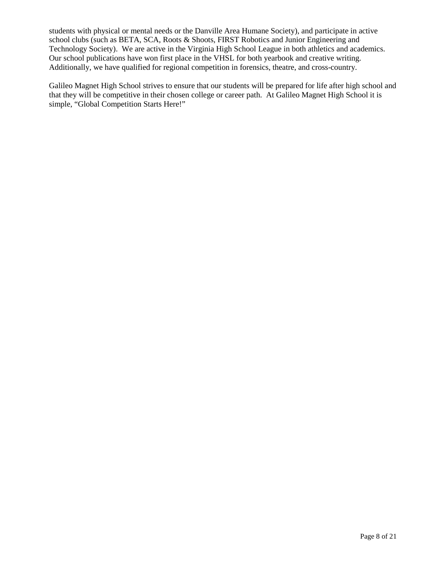students with physical or mental needs or the Danville Area Humane Society), and participate in active school clubs (such as BETA, SCA, Roots & Shoots, FIRST Robotics and Junior Engineering and Technology Society). We are active in the Virginia High School League in both athletics and academics. Our school publications have won first place in the VHSL for both yearbook and creative writing. Additionally, we have qualified for regional competition in forensics, theatre, and cross-country.

Galileo Magnet High School strives to ensure that our students will be prepared for life after high school and that they will be competitive in their chosen college or career path. At Galileo Magnet High School it is simple, "Global Competition Starts Here!"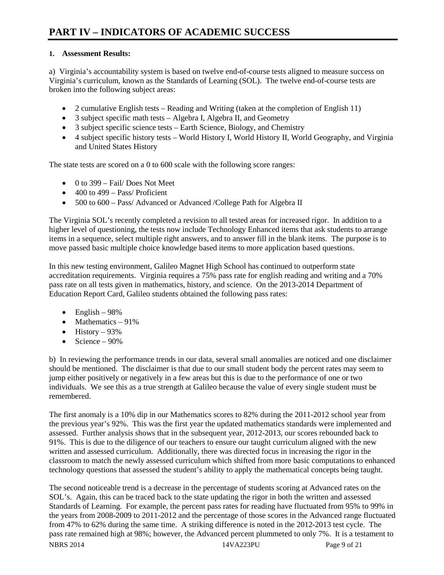# **1. Assessment Results:**

a) Virginia's accountability system is based on twelve end-of-course tests aligned to measure success on Virginia's curriculum, known as the Standards of Learning (SOL). The twelve end-of-course tests are broken into the following subject areas:

- 2 cumulative English tests Reading and Writing (taken at the completion of English 11)
- 3 subject specific math tests Algebra I, Algebra II, and Geometry
- 3 subject specific science tests Earth Science, Biology, and Chemistry
- 4 subject specific history tests World History I, World History II, World Geography, and Virginia and United States History

The state tests are scored on a 0 to 600 scale with the following score ranges:

- $\bullet$  0 to 399 Fail/ Does Not Meet
- $\bullet$  400 to 499 Pass/ Proficient
- 500 to 600 Pass/ Advanced or Advanced /College Path for Algebra II

The Virginia SOL's recently completed a revision to all tested areas for increased rigor. In addition to a higher level of questioning, the tests now include Technology Enhanced items that ask students to arrange items in a sequence, select multiple right answers, and to answer fill in the blank items. The purpose is to move passed basic multiple choice knowledge based items to more application based questions.

In this new testing environment, Galileo Magnet High School has continued to outperform state accreditation requirements. Virginia requires a 75% pass rate for english reading and writing and a 70% pass rate on all tests given in mathematics, history, and science. On the 2013-2014 Department of Education Report Card, Galileo students obtained the following pass rates:

- English  $98\%$
- Mathematics 91%
- History  $93\%$
- Science  $90\%$

b) In reviewing the performance trends in our data, several small anomalies are noticed and one disclaimer should be mentioned. The disclaimer is that due to our small student body the percent rates may seem to jump either positively or negatively in a few areas but this is due to the performance of one or two individuals. We see this as a true strength at Galileo because the value of every single student must be remembered.

The first anomaly is a 10% dip in our Mathematics scores to 82% during the 2011-2012 school year from the previous year's 92%. This was the first year the updated mathematics standards were implemented and assessed. Further analysis shows that in the subsequent year, 2012-2013, our scores rebounded back to 91%. This is due to the diligence of our teachers to ensure our taught curriculum aligned with the new written and assessed curriculum. Additionally, there was directed focus in increasing the rigor in the classroom to match the newly assessed curriculum which shifted from more basic computations to enhanced technology questions that assessed the student's ability to apply the mathematical concepts being taught.

The second noticeable trend is a decrease in the percentage of students scoring at Advanced rates on the SOL's. Again, this can be traced back to the state updating the rigor in both the written and assessed Standards of Learning. For example, the percent pass rates for reading have fluctuated from 95% to 99% in the years from 2008-2009 to 2011-2012 and the percentage of those scores in the Advanced range fluctuated from 47% to 62% during the same time. A striking difference is noted in the 2012-2013 test cycle. The pass rate remained high at 98%; however, the Advanced percent plummeted to only 7%. It is a testament to NBRS 2014 223PU Page 9 of 21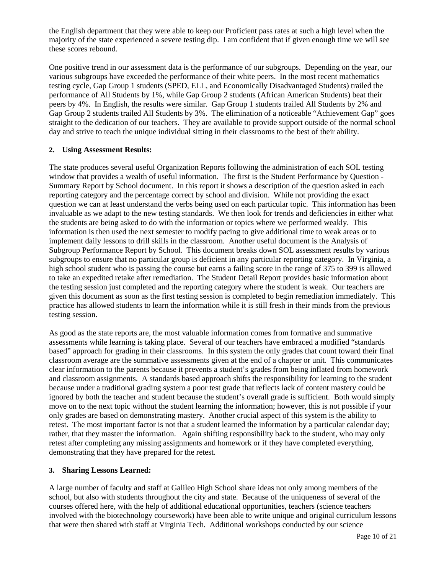the English department that they were able to keep our Proficient pass rates at such a high level when the majority of the state experienced a severe testing dip. I am confident that if given enough time we will see these scores rebound.

One positive trend in our assessment data is the performance of our subgroups. Depending on the year, our various subgroups have exceeded the performance of their white peers. In the most recent mathematics testing cycle, Gap Group 1 students (SPED, ELL, and Economically Disadvantaged Students) trailed the performance of All Students by 1%, while Gap Group 2 students (African American Students) beat their peers by 4%. In English, the results were similar. Gap Group 1 students trailed All Students by 2% and Gap Group 2 students trailed All Students by 3%. The elimination of a noticeable "Achievement Gap" goes straight to the dedication of our teachers. They are available to provide support outside of the normal school day and strive to teach the unique individual sitting in their classrooms to the best of their ability.

# **2. Using Assessment Results:**

The state produces several useful Organization Reports following the administration of each SOL testing window that provides a wealth of useful information. The first is the Student Performance by Question - Summary Report by School document. In this report it shows a description of the question asked in each reporting category and the percentage correct by school and division. While not providing the exact question we can at least understand the verbs being used on each particular topic. This information has been invaluable as we adapt to the new testing standards. We then look for trends and deficiencies in either what the students are being asked to do with the information or topics where we performed weakly. This information is then used the next semester to modify pacing to give additional time to weak areas or to implement daily lessons to drill skills in the classroom. Another useful document is the Analysis of Subgroup Performance Report by School. This document breaks down SOL assessment results by various subgroups to ensure that no particular group is deficient in any particular reporting category. In Virginia, a high school student who is passing the course but earns a failing score in the range of 375 to 399 is allowed to take an expedited retake after remediation. The Student Detail Report provides basic information about the testing session just completed and the reporting category where the student is weak. Our teachers are given this document as soon as the first testing session is completed to begin remediation immediately. This practice has allowed students to learn the information while it is still fresh in their minds from the previous testing session.

As good as the state reports are, the most valuable information comes from formative and summative assessments while learning is taking place. Several of our teachers have embraced a modified "standards based" approach for grading in their classrooms. In this system the only grades that count toward their final classroom average are the summative assessments given at the end of a chapter or unit. This communicates clear information to the parents because it prevents a student's grades from being inflated from homework and classroom assignments. A standards based approach shifts the responsibility for learning to the student because under a traditional grading system a poor test grade that reflects lack of content mastery could be ignored by both the teacher and student because the student's overall grade is sufficient. Both would simply move on to the next topic without the student learning the information; however, this is not possible if your only grades are based on demonstrating mastery. Another crucial aspect of this system is the ability to retest. The most important factor is not that a student learned the information by a particular calendar day; rather, that they master the information. Again shifting responsibility back to the student, who may only retest after completing any missing assignments and homework or if they have completed everything, demonstrating that they have prepared for the retest.

# **3. Sharing Lessons Learned:**

A large number of faculty and staff at Galileo High School share ideas not only among members of the school, but also with students throughout the city and state. Because of the uniqueness of several of the courses offered here, with the help of additional educational opportunities, teachers (science teachers involved with the biotechnology coursework) have been able to write unique and original curriculum lessons that were then shared with staff at Virginia Tech. Additional workshops conducted by our science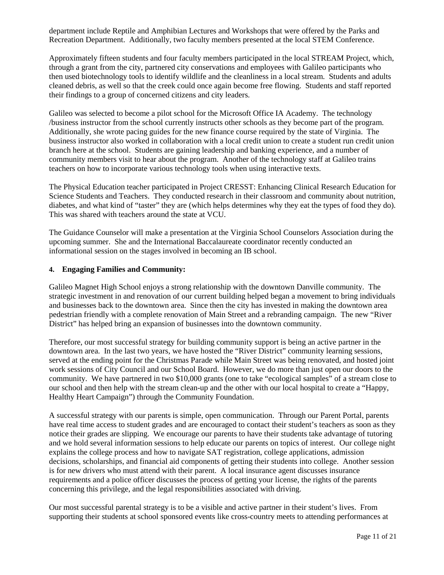department include Reptile and Amphibian Lectures and Workshops that were offered by the Parks and Recreation Department. Additionally, two faculty members presented at the local STEM Conference.

Approximately fifteen students and four faculty members participated in the local STREAM Project, which, through a grant from the city, partnered city conservations and employees with Galileo participants who then used biotechnology tools to identify wildlife and the cleanliness in a local stream. Students and adults cleaned debris, as well so that the creek could once again become free flowing. Students and staff reported their findings to a group of concerned citizens and city leaders.

Galileo was selected to become a pilot school for the Microsoft Office IA Academy. The technology /business instructor from the school currently instructs other schools as they become part of the program. Additionally, she wrote pacing guides for the new finance course required by the state of Virginia. The business instructor also worked in collaboration with a local credit union to create a student run credit union branch here at the school. Students are gaining leadership and banking experience, and a number of community members visit to hear about the program. Another of the technology staff at Galileo trains teachers on how to incorporate various technology tools when using interactive texts.

The Physical Education teacher participated in Project CRESST: Enhancing Clinical Research Education for Science Students and Teachers. They conducted research in their classroom and community about nutrition, diabetes, and what kind of "taster" they are (which helps determines why they eat the types of food they do). This was shared with teachers around the state at VCU.

The Guidance Counselor will make a presentation at the Virginia School Counselors Association during the upcoming summer. She and the International Baccalaureate coordinator recently conducted an informational session on the stages involved in becoming an IB school.

# **4. Engaging Families and Community:**

Galileo Magnet High School enjoys a strong relationship with the downtown Danville community. The strategic investment in and renovation of our current building helped began a movement to bring individuals and businesses back to the downtown area. Since then the city has invested in making the downtown area pedestrian friendly with a complete renovation of Main Street and a rebranding campaign. The new "River District" has helped bring an expansion of businesses into the downtown community.

Therefore, our most successful strategy for building community support is being an active partner in the downtown area. In the last two years, we have hosted the "River District" community learning sessions, served at the ending point for the Christmas Parade while Main Street was being renovated, and hosted joint work sessions of City Council and our School Board. However, we do more than just open our doors to the community. We have partnered in two \$10,000 grants (one to take "ecological samples" of a stream close to our school and then help with the stream clean-up and the other with our local hospital to create a "Happy, Healthy Heart Campaign") through the Community Foundation.

A successful strategy with our parents is simple, open communication. Through our Parent Portal, parents have real time access to student grades and are encouraged to contact their student's teachers as soon as they notice their grades are slipping. We encourage our parents to have their students take advantage of tutoring and we hold several information sessions to help educate our parents on topics of interest. Our college night explains the college process and how to navigate SAT registration, college applications, admission decisions, scholarships, and financial aid components of getting their students into college. Another session is for new drivers who must attend with their parent. A local insurance agent discusses insurance requirements and a police officer discusses the process of getting your license, the rights of the parents concerning this privilege, and the legal responsibilities associated with driving.

Our most successful parental strategy is to be a visible and active partner in their student's lives. From supporting their students at school sponsored events like cross-country meets to attending performances at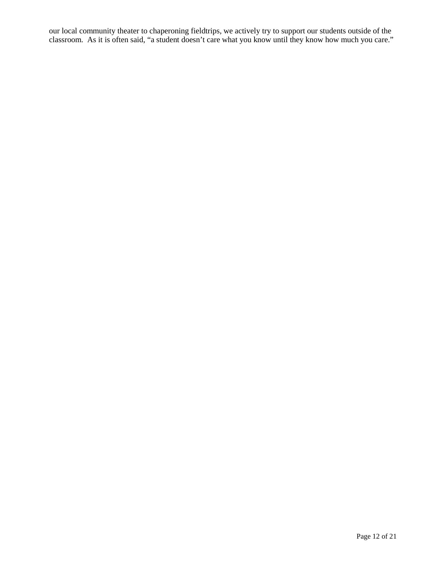our local community theater to chaperoning fieldtrips, we actively try to support our students outside of the classroom. As it is often said, "a student doesn't care what you know until they know how much you care."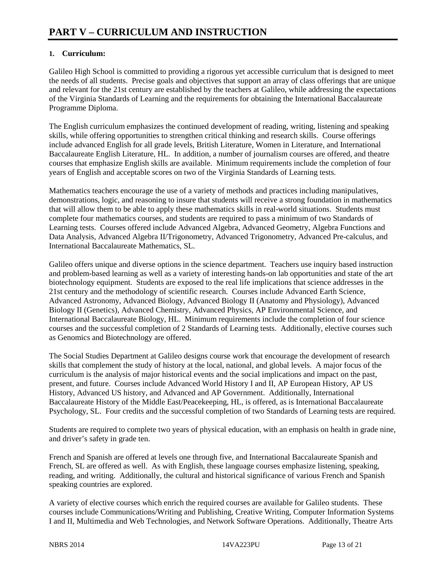# **1. Curriculum:**

Galileo High School is committed to providing a rigorous yet accessible curriculum that is designed to meet the needs of all students. Precise goals and objectives that support an array of class offerings that are unique and relevant for the 21st century are established by the teachers at Galileo, while addressing the expectations of the Virginia Standards of Learning and the requirements for obtaining the International Baccalaureate Programme Diploma.

The English curriculum emphasizes the continued development of reading, writing, listening and speaking skills, while offering opportunities to strengthen critical thinking and research skills. Course offerings include advanced English for all grade levels, British Literature, Women in Literature, and International Baccalaureate English Literature, HL. In addition, a number of journalism courses are offered, and theatre courses that emphasize English skills are available. Minimum requirements include the completion of four years of English and acceptable scores on two of the Virginia Standards of Learning tests.

Mathematics teachers encourage the use of a variety of methods and practices including manipulatives, demonstrations, logic, and reasoning to insure that students will receive a strong foundation in mathematics that will allow them to be able to apply these mathematics skills in real-world situations. Students must complete four mathematics courses, and students are required to pass a minimum of two Standards of Learning tests. Courses offered include Advanced Algebra, Advanced Geometry, Algebra Functions and Data Analysis, Advanced Algebra II/Trigonometry, Advanced Trigonometry, Advanced Pre-calculus, and International Baccalaureate Mathematics, SL.

Galileo offers unique and diverse options in the science department. Teachers use inquiry based instruction and problem-based learning as well as a variety of interesting hands-on lab opportunities and state of the art biotechnology equipment. Students are exposed to the real life implications that science addresses in the 21st century and the methodology of scientific research. Courses include Advanced Earth Science, Advanced Astronomy, Advanced Biology, Advanced Biology II (Anatomy and Physiology), Advanced Biology II (Genetics), Advanced Chemistry, Advanced Physics, AP Environmental Science, and International Baccalaureate Biology, HL. Minimum requirements include the completion of four science courses and the successful completion of 2 Standards of Learning tests. Additionally, elective courses such as Genomics and Biotechnology are offered.

The Social Studies Department at Galileo designs course work that encourage the development of research skills that complement the study of history at the local, national, and global levels. A major focus of the curriculum is the analysis of major historical events and the social implications and impact on the past, present, and future. Courses include Advanced World History I and II, AP European History, AP US History, Advanced US history, and Advanced and AP Government. Additionally, International Baccalaureate History of the Middle East/Peacekeeping, HL, is offered, as is International Baccalaureate Psychology, SL. Four credits and the successful completion of two Standards of Learning tests are required.

Students are required to complete two years of physical education, with an emphasis on health in grade nine, and driver's safety in grade ten.

French and Spanish are offered at levels one through five, and International Baccalaureate Spanish and French, SL are offered as well. As with English, these language courses emphasize listening, speaking, reading, and writing. Additionally, the cultural and historical significance of various French and Spanish speaking countries are explored.

A variety of elective courses which enrich the required courses are available for Galileo students. These courses include Communications/Writing and Publishing, Creative Writing, Computer Information Systems I and II, Multimedia and Web Technologies, and Network Software Operations. Additionally, Theatre Arts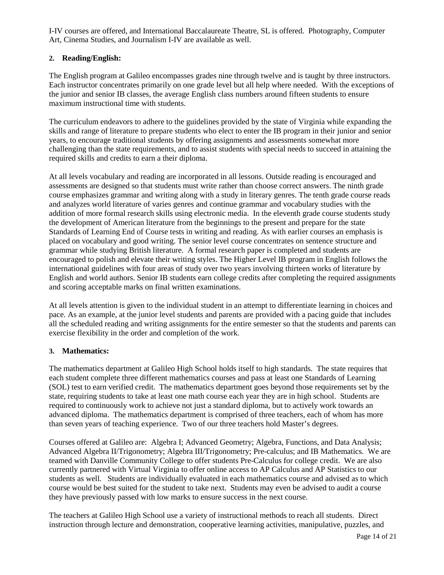I-IV courses are offered, and International Baccalaureate Theatre, SL is offered. Photography, Computer Art, Cinema Studies, and Journalism I-IV are available as well.

# **2. Reading/English:**

The English program at Galileo encompasses grades nine through twelve and is taught by three instructors. Each instructor concentrates primarily on one grade level but all help where needed. With the exceptions of the junior and senior IB classes, the average English class numbers around fifteen students to ensure maximum instructional time with students.

The curriculum endeavors to adhere to the guidelines provided by the state of Virginia while expanding the skills and range of literature to prepare students who elect to enter the IB program in their junior and senior years, to encourage traditional students by offering assignments and assessments somewhat more challenging than the state requirements, and to assist students with special needs to succeed in attaining the required skills and credits to earn a their diploma.

At all levels vocabulary and reading are incorporated in all lessons. Outside reading is encouraged and assessments are designed so that students must write rather than choose correct answers. The ninth grade course emphasizes grammar and writing along with a study in literary genres. The tenth grade course reads and analyzes world literature of varies genres and continue grammar and vocabulary studies with the addition of more formal research skills using electronic media. In the eleventh grade course students study the development of American literature from the beginnings to the present and prepare for the state Standards of Learning End of Course tests in writing and reading. As with earlier courses an emphasis is placed on vocabulary and good writing. The senior level course concentrates on sentence structure and grammar while studying British literature. A formal research paper is completed and students are encouraged to polish and elevate their writing styles. The Higher Level IB program in English follows the international guidelines with four areas of study over two years involving thirteen works of literature by English and world authors. Senior IB students earn college credits after completing the required assignments and scoring acceptable marks on final written examinations.

At all levels attention is given to the individual student in an attempt to differentiate learning in choices and pace. As an example, at the junior level students and parents are provided with a pacing guide that includes all the scheduled reading and writing assignments for the entire semester so that the students and parents can exercise flexibility in the order and completion of the work.

# **3. Mathematics:**

The mathematics department at Galileo High School holds itself to high standards. The state requires that each student complete three different mathematics courses and pass at least one Standards of Learning (SOL) test to earn verified credit. The mathematics department goes beyond those requirements set by the state, requiring students to take at least one math course each year they are in high school. Students are required to continuously work to achieve not just a standard diploma, but to actively work towards an advanced diploma. The mathematics department is comprised of three teachers, each of whom has more than seven years of teaching experience. Two of our three teachers hold Master's degrees.

Courses offered at Galileo are: Algebra I; Advanced Geometry; Algebra, Functions, and Data Analysis; Advanced Algebra II/Trigonometry; Algebra III/Trigonometry; Pre-calculus; and IB Mathematics. We are teamed with Danville Community College to offer students Pre-Calculus for college credit. We are also currently partnered with Virtual Virginia to offer online access to AP Calculus and AP Statistics to our students as well. Students are individually evaluated in each mathematics course and advised as to which course would be best suited for the student to take next. Students may even be advised to audit a course they have previously passed with low marks to ensure success in the next course.

The teachers at Galileo High School use a variety of instructional methods to reach all students. Direct instruction through lecture and demonstration, cooperative learning activities, manipulative, puzzles, and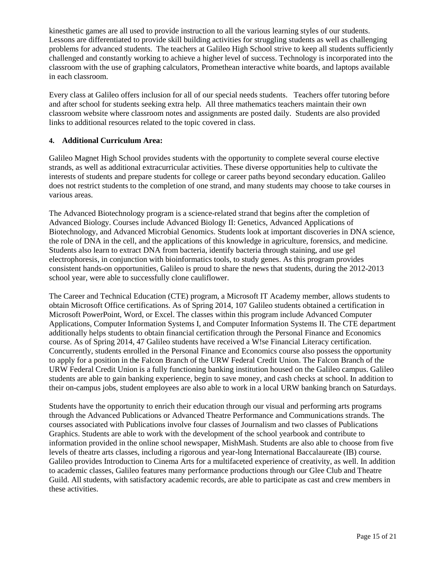kinesthetic games are all used to provide instruction to all the various learning styles of our students. Lessons are differentiated to provide skill building activities for struggling students as well as challenging problems for advanced students. The teachers at Galileo High School strive to keep all students sufficiently challenged and constantly working to achieve a higher level of success. Technology is incorporated into the classroom with the use of graphing calculators, Promethean interactive white boards, and laptops available in each classroom.

Every class at Galileo offers inclusion for all of our special needs students. Teachers offer tutoring before and after school for students seeking extra help. All three mathematics teachers maintain their own classroom website where classroom notes and assignments are posted daily. Students are also provided links to additional resources related to the topic covered in class.

# **4. Additional Curriculum Area:**

Galileo Magnet High School provides students with the opportunity to complete several course elective strands, as well as additional extracurricular activities. These diverse opportunities help to cultivate the interests of students and prepare students for college or career paths beyond secondary education. Galileo does not restrict students to the completion of one strand, and many students may choose to take courses in various areas.

The Advanced Biotechnology program is a science-related strand that begins after the completion of Advanced Biology. Courses include Advanced Biology II: Genetics, Advanced Applications of Biotechnology, and Advanced Microbial Genomics. Students look at important discoveries in DNA science, the role of DNA in the cell, and the applications of this knowledge in agriculture, forensics, and medicine. Students also learn to extract DNA from bacteria, identify bacteria through staining, and use gel electrophoresis, in conjunction with bioinformatics tools, to study genes. As this program provides consistent hands-on opportunities, Galileo is proud to share the news that students, during the 2012-2013 school year, were able to successfully clone cauliflower.

The Career and Technical Education (CTE) program, a Microsoft IT Academy member, allows students to obtain Microsoft Office certifications. As of Spring 2014, 107 Galileo students obtained a certification in Microsoft PowerPoint, Word, or Excel. The classes within this program include Advanced Computer Applications, Computer Information Systems I, and Computer Information Systems II. The CTE department additionally helps students to obtain financial certification through the Personal Finance and Economics course. As of Spring 2014, 47 Galileo students have received a W!se Financial Literacy certification. Concurrently, students enrolled in the Personal Finance and Economics course also possess the opportunity to apply for a position in the Falcon Branch of the URW Federal Credit Union. The Falcon Branch of the URW Federal Credit Union is a fully functioning banking institution housed on the Galileo campus. Galileo students are able to gain banking experience, begin to save money, and cash checks at school. In addition to their on-campus jobs, student employees are also able to work in a local URW banking branch on Saturdays.

Students have the opportunity to enrich their education through our visual and performing arts programs through the Advanced Publications or Advanced Theatre Performance and Communications strands. The courses associated with Publications involve four classes of Journalism and two classes of Publications Graphics. Students are able to work with the development of the school yearbook and contribute to information provided in the online school newspaper, MishMash. Students are also able to choose from five levels of theatre arts classes, including a rigorous and year-long International Baccalaureate (IB) course. Galileo provides Introduction to Cinema Arts for a multifaceted experience of creativity, as well. In addition to academic classes, Galileo features many performance productions through our Glee Club and Theatre Guild. All students, with satisfactory academic records, are able to participate as cast and crew members in these activities.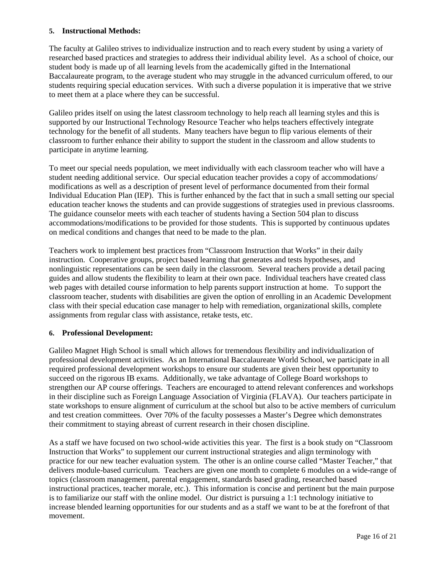# **5. Instructional Methods:**

The faculty at Galileo strives to individualize instruction and to reach every student by using a variety of researched based practices and strategies to address their individual ability level. As a school of choice, our student body is made up of all learning levels from the academically gifted in the International Baccalaureate program, to the average student who may struggle in the advanced curriculum offered, to our students requiring special education services. With such a diverse population it is imperative that we strive to meet them at a place where they can be successful.

Galileo prides itself on using the latest classroom technology to help reach all learning styles and this is supported by our Instructional Technology Resource Teacher who helps teachers effectively integrate technology for the benefit of all students. Many teachers have begun to flip various elements of their classroom to further enhance their ability to support the student in the classroom and allow students to participate in anytime learning.

To meet our special needs population, we meet individually with each classroom teacher who will have a student needing additional service. Our special education teacher provides a copy of accommodations/ modifications as well as a description of present level of performance documented from their formal Individual Education Plan (IEP). This is further enhanced by the fact that in such a small setting our special education teacher knows the students and can provide suggestions of strategies used in previous classrooms. The guidance counselor meets with each teacher of students having a Section 504 plan to discuss accommodations/modifications to be provided for those students. This is supported by continuous updates on medical conditions and changes that need to be made to the plan.

Teachers work to implement best practices from "Classroom Instruction that Works" in their daily instruction. Cooperative groups, project based learning that generates and tests hypotheses, and nonlinguistic representations can be seen daily in the classroom. Several teachers provide a detail pacing guides and allow students the flexibility to learn at their own pace. Individual teachers have created class web pages with detailed course information to help parents support instruction at home. To support the classroom teacher, students with disabilities are given the option of enrolling in an Academic Development class with their special education case manager to help with remediation, organizational skills, complete assignments from regular class with assistance, retake tests, etc.

# **6. Professional Development:**

Galileo Magnet High School is small which allows for tremendous flexibility and individualization of professional development activities. As an International Baccalaureate World School, we participate in all required professional development workshops to ensure our students are given their best opportunity to succeed on the rigorous IB exams. Additionally, we take advantage of College Board workshops to strengthen our AP course offerings. Teachers are encouraged to attend relevant conferences and workshops in their discipline such as Foreign Language Association of Virginia (FLAVA). Our teachers participate in state workshops to ensure alignment of curriculum at the school but also to be active members of curriculum and test creation committees. Over 70% of the faculty possesses a Master's Degree which demonstrates their commitment to staying abreast of current research in their chosen discipline.

As a staff we have focused on two school-wide activities this year. The first is a book study on "Classroom Instruction that Works" to supplement our current instructional strategies and align terminology with practice for our new teacher evaluation system. The other is an online course called "Master Teacher," that delivers module-based curriculum. Teachers are given one month to complete 6 modules on a wide-range of topics (classroom management, parental engagement, standards based grading, researched based instructional practices, teacher morale, etc.). This information is concise and pertinent but the main purpose is to familiarize our staff with the online model. Our district is pursuing a 1:1 technology initiative to increase blended learning opportunities for our students and as a staff we want to be at the forefront of that movement.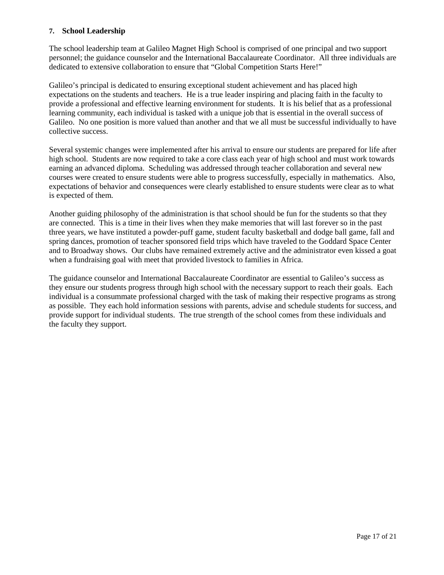# **7. School Leadership**

The school leadership team at Galileo Magnet High School is comprised of one principal and two support personnel; the guidance counselor and the International Baccalaureate Coordinator. All three individuals are dedicated to extensive collaboration to ensure that "Global Competition Starts Here!"

Galileo's principal is dedicated to ensuring exceptional student achievement and has placed high expectations on the students and teachers. He is a true leader inspiring and placing faith in the faculty to provide a professional and effective learning environment for students. It is his belief that as a professional learning community, each individual is tasked with a unique job that is essential in the overall success of Galileo. No one position is more valued than another and that we all must be successful individually to have collective success.

Several systemic changes were implemented after his arrival to ensure our students are prepared for life after high school. Students are now required to take a core class each year of high school and must work towards earning an advanced diploma. Scheduling was addressed through teacher collaboration and several new courses were created to ensure students were able to progress successfully, especially in mathematics. Also, expectations of behavior and consequences were clearly established to ensure students were clear as to what is expected of them.

Another guiding philosophy of the administration is that school should be fun for the students so that they are connected. This is a time in their lives when they make memories that will last forever so in the past three years, we have instituted a powder-puff game, student faculty basketball and dodge ball game, fall and spring dances, promotion of teacher sponsored field trips which have traveled to the Goddard Space Center and to Broadway shows. Our clubs have remained extremely active and the administrator even kissed a goat when a fundraising goal with meet that provided livestock to families in Africa.

The guidance counselor and International Baccalaureate Coordinator are essential to Galileo's success as they ensure our students progress through high school with the necessary support to reach their goals. Each individual is a consummate professional charged with the task of making their respective programs as strong as possible. They each hold information sessions with parents, advise and schedule students for success, and provide support for individual students. The true strength of the school comes from these individuals and the faculty they support.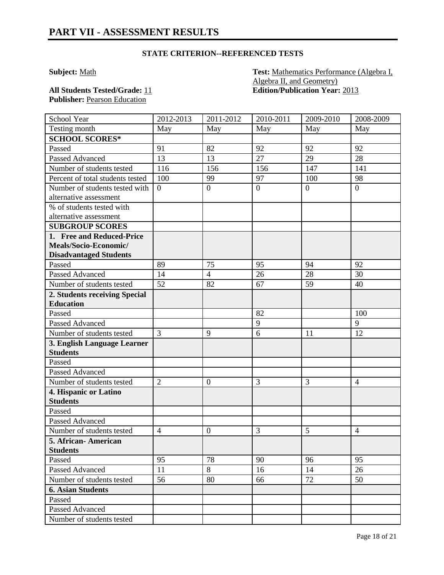# **STATE CRITERION--REFERENCED TESTS**

**Subject:** Math **Test:** Mathematics Performance (Algebra I, Algebra II, and Geometry) **All Students Tested/Grade:** 11 **Edition/Publication Year:** 2013

Publisher: **Pearson Education** 

| School Year                                    | 2012-2013      | 2011-2012        | 2010-2011      | 2009-2010      | 2008-2009      |
|------------------------------------------------|----------------|------------------|----------------|----------------|----------------|
| Testing month                                  | May            | May              | May            | May            | May            |
| <b>SCHOOL SCORES*</b>                          |                |                  |                |                |                |
| Passed                                         | 91             | 82               | 92             | 92             | 92             |
| Passed Advanced                                | 13             | 13               | 27             | 29             | 28             |
| Number of students tested                      | 116            | 156              | 156            | 147            | 141            |
| Percent of total students tested               | 100            | 99               | 97             | 100            | 98             |
| Number of students tested with                 | $\overline{0}$ | $\overline{0}$   | $\overline{0}$ | $\overline{0}$ | $\overline{0}$ |
| alternative assessment                         |                |                  |                |                |                |
| % of students tested with                      |                |                  |                |                |                |
| alternative assessment                         |                |                  |                |                |                |
| <b>SUBGROUP SCORES</b>                         |                |                  |                |                |                |
| 1. Free and Reduced-Price                      |                |                  |                |                |                |
| Meals/Socio-Economic/                          |                |                  |                |                |                |
| <b>Disadvantaged Students</b>                  |                |                  |                |                |                |
| Passed                                         | 89             | 75               | 95             | 94             | 92             |
| Passed Advanced                                | 14             | $\overline{4}$   | 26             | 28             | 30             |
| Number of students tested                      | 52             | 82               | 67             | 59             | 40             |
| 2. Students receiving Special                  |                |                  |                |                |                |
| <b>Education</b>                               |                |                  |                |                |                |
| Passed                                         |                |                  | 82             |                | 100            |
| <b>Passed Advanced</b>                         |                |                  | 9              |                | 9              |
| Number of students tested                      | 3              | 9                | 6              | 11             | 12             |
| 3. English Language Learner<br><b>Students</b> |                |                  |                |                |                |
| Passed                                         |                |                  |                |                |                |
| <b>Passed Advanced</b>                         |                |                  |                |                |                |
| Number of students tested                      | $\overline{2}$ | $\boldsymbol{0}$ | 3              | 3              | $\overline{4}$ |
| 4. Hispanic or Latino                          |                |                  |                |                |                |
| <b>Students</b>                                |                |                  |                |                |                |
| Passed                                         |                |                  |                |                |                |
| <b>Passed Advanced</b>                         |                |                  |                |                |                |
| Number of students tested                      | $\overline{4}$ | $\mathbf{0}$     | 3              | 5              | $\overline{4}$ |
| 5. African-American                            |                |                  |                |                |                |
| <b>Students</b>                                |                |                  |                |                |                |
| Passed                                         | 95             | 78               | 90             | 96             | 95             |
| Passed Advanced                                | 11             | 8                | 16             | 14             | 26             |
| Number of students tested                      | 56             | 80               | 66             | 72             | 50             |
| <b>6. Asian Students</b>                       |                |                  |                |                |                |
| Passed                                         |                |                  |                |                |                |
| Passed Advanced                                |                |                  |                |                |                |
| Number of students tested                      |                |                  |                |                |                |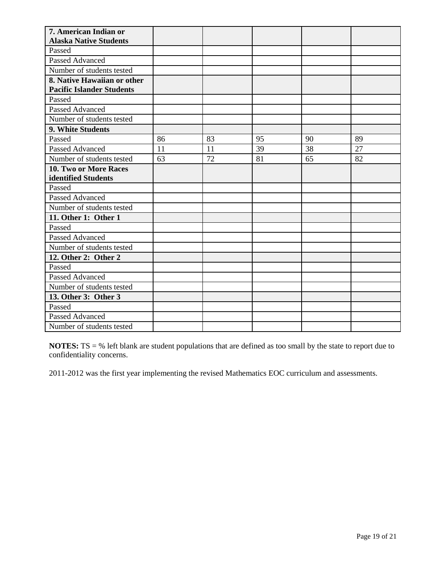| 7. American Indian or            |    |    |    |    |    |
|----------------------------------|----|----|----|----|----|
| <b>Alaska Native Students</b>    |    |    |    |    |    |
| Passed                           |    |    |    |    |    |
| <b>Passed Advanced</b>           |    |    |    |    |    |
| Number of students tested        |    |    |    |    |    |
| 8. Native Hawaiian or other      |    |    |    |    |    |
| <b>Pacific Islander Students</b> |    |    |    |    |    |
| Passed                           |    |    |    |    |    |
| Passed Advanced                  |    |    |    |    |    |
| Number of students tested        |    |    |    |    |    |
| 9. White Students                |    |    |    |    |    |
| Passed                           | 86 | 83 | 95 | 90 | 89 |
| <b>Passed Advanced</b>           | 11 | 11 | 39 | 38 | 27 |
| Number of students tested        | 63 | 72 | 81 | 65 | 82 |
| 10. Two or More Races            |    |    |    |    |    |
| identified Students              |    |    |    |    |    |
| Passed                           |    |    |    |    |    |
| Passed Advanced                  |    |    |    |    |    |
| Number of students tested        |    |    |    |    |    |
| 11. Other 1: Other 1             |    |    |    |    |    |
| Passed                           |    |    |    |    |    |
| <b>Passed Advanced</b>           |    |    |    |    |    |
| Number of students tested        |    |    |    |    |    |
| 12. Other 2: Other 2             |    |    |    |    |    |
| Passed                           |    |    |    |    |    |
| Passed Advanced                  |    |    |    |    |    |
| Number of students tested        |    |    |    |    |    |
| 13. Other 3: Other 3             |    |    |    |    |    |
| Passed                           |    |    |    |    |    |
| <b>Passed Advanced</b>           |    |    |    |    |    |
| Number of students tested        |    |    |    |    |    |

**NOTES:** TS = % left blank are student populations that are defined as too small by the state to report due to confidentiality concerns.

2011-2012 was the first year implementing the revised Mathematics EOC curriculum and assessments.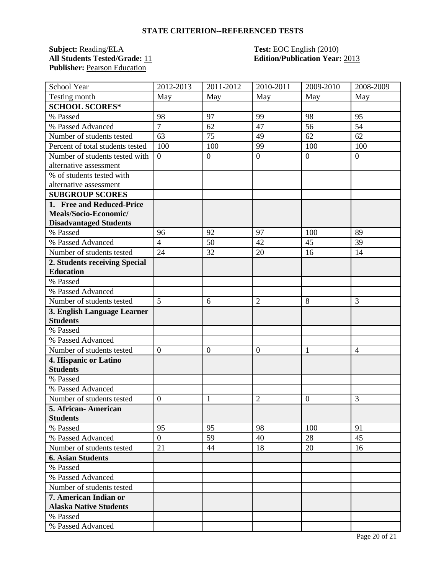### **STATE CRITERION--REFERENCED TESTS**

# **Subject:** Reading/ELA **Test:** EOC English (2010) **All Students Tested/Grade:** 11 **Edition/Publication Year:** 2013 Publisher: **Pearson Education**

| School Year                      | 2012-2013        | 2011-2012        | 2010-2011      | 2009-2010        | 2008-2009      |
|----------------------------------|------------------|------------------|----------------|------------------|----------------|
| Testing month                    | May              | May              | May            | May              | May            |
| <b>SCHOOL SCORES*</b>            |                  |                  |                |                  |                |
| % Passed                         | 98               | 97               | 99             | 98               | 95             |
| % Passed Advanced                | $\overline{7}$   | 62               | 47             | 56               | 54             |
| Number of students tested        | 63               | 75               | 49             | 62               | 62             |
| Percent of total students tested | 100              | 100              | 99             | 100              | 100            |
| Number of students tested with   | $\boldsymbol{0}$ | $\boldsymbol{0}$ | $\overline{0}$ | $\boldsymbol{0}$ | $\overline{0}$ |
| alternative assessment           |                  |                  |                |                  |                |
| % of students tested with        |                  |                  |                |                  |                |
| alternative assessment           |                  |                  |                |                  |                |
| <b>SUBGROUP SCORES</b>           |                  |                  |                |                  |                |
| 1. Free and Reduced-Price        |                  |                  |                |                  |                |
| Meals/Socio-Economic/            |                  |                  |                |                  |                |
| <b>Disadvantaged Students</b>    |                  |                  |                |                  |                |
| % Passed                         | 96               | 92               | 97             | 100              | 89             |
| % Passed Advanced                | $\overline{4}$   | 50               | 42             | 45               | 39             |
| Number of students tested        | 24               | 32               | 20             | 16               | 14             |
| 2. Students receiving Special    |                  |                  |                |                  |                |
| <b>Education</b>                 |                  |                  |                |                  |                |
| % Passed                         |                  |                  |                |                  |                |
| % Passed Advanced                |                  |                  |                |                  |                |
| Number of students tested        | 5                | 6                | 2              | 8                | 3              |
| 3. English Language Learner      |                  |                  |                |                  |                |
| <b>Students</b>                  |                  |                  |                |                  |                |
| % Passed                         |                  |                  |                |                  |                |
| % Passed Advanced                |                  |                  |                |                  |                |
| Number of students tested        | $\boldsymbol{0}$ | $\mathbf{0}$     | $\overline{0}$ | 1                | 4              |
| 4. Hispanic or Latino            |                  |                  |                |                  |                |
| <b>Students</b>                  |                  |                  |                |                  |                |
| % Passed                         |                  |                  |                |                  |                |
| % Passed Advanced                |                  |                  |                |                  |                |
| Number of students tested        | $\overline{0}$   | 1                | $\overline{2}$ | $\overline{0}$   | 3              |
| 5. African-American              |                  |                  |                |                  |                |
| <b>Students</b>                  |                  |                  |                |                  |                |
| % Passed                         | 95               | 95               | 98             | 100              | 91             |
| % Passed Advanced                | $\overline{0}$   | 59               | 40             | 28               | 45             |
| Number of students tested        | 21               | 44               | 18             | 20               | 16             |
| <b>6. Asian Students</b>         |                  |                  |                |                  |                |
| % Passed                         |                  |                  |                |                  |                |
| % Passed Advanced                |                  |                  |                |                  |                |
| Number of students tested        |                  |                  |                |                  |                |
| 7. American Indian or            |                  |                  |                |                  |                |
| <b>Alaska Native Students</b>    |                  |                  |                |                  |                |
| % Passed                         |                  |                  |                |                  |                |
| % Passed Advanced                |                  |                  |                |                  |                |